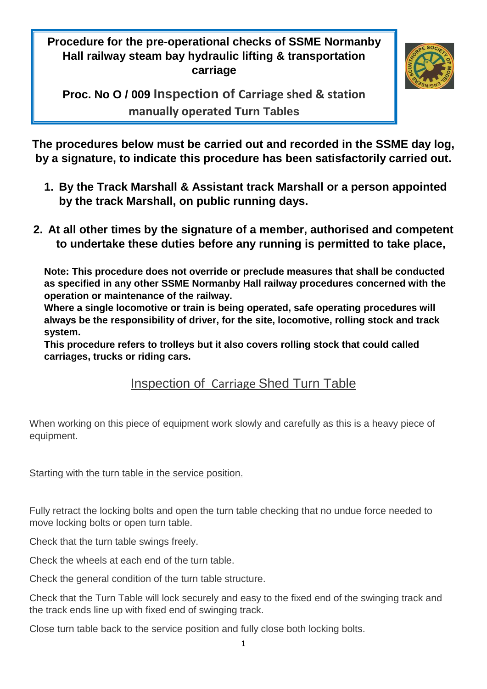**Procedure for the pre-operational checks of SSME Normanby Hall railway steam bay hydraulic lifting & transportation carriage**



**Proc. No O / 009 Inspection of Carriage shed & station manually operated Turn Tables**

**The procedures below must be carried out and recorded in the SSME day log, by a signature, to indicate this procedure has been satisfactorily carried out.**

- **1. By the Track Marshall & Assistant track Marshall or a person appointed by the track Marshall, on public running days.**
- **2. At all other times by the signature of a member, authorised and competent to undertake these duties before any running is permitted to take place,**

**Note: This procedure does not override or preclude measures that shall be conducted as specified in any other SSME Normanby Hall railway procedures concerned with the operation or maintenance of the railway.**

**Where a single locomotive or train is being operated, safe operating procedures will always be the responsibility of driver, for the site, locomotive, rolling stock and track system.**

**This procedure refers to trolleys but it also covers rolling stock that could called carriages, trucks or riding cars.**

## Inspection of Carriage Shed Turn Table

When working on this piece of equipment work slowly and carefully as this is a heavy piece of equipment.

Starting with the turn table in the service position.

Fully retract the locking bolts and open the turn table checking that no undue force needed to move locking bolts or open turn table.

Check that the turn table swings freely.

Check the wheels at each end of the turn table.

Check the general condition of the turn table structure.

Check that the Turn Table will lock securely and easy to the fixed end of the swinging track and the track ends line up with fixed end of swinging track.

Close turn table back to the service position and fully close both locking bolts.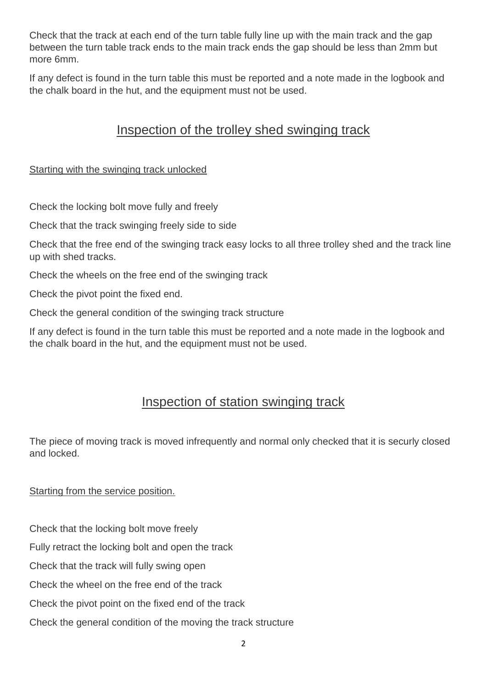Check that the track at each end of the turn table fully line up with the main track and the gap between the turn table track ends to the main track ends the gap should be less than 2mm but more 6mm.

If any defect is found in the turn table this must be reported and a note made in the logbook and the chalk board in the hut, and the equipment must not be used.

## Inspection of the trolley shed swinging track

## Starting with the swinging track unlocked

Check the locking bolt move fully and freely

Check that the track swinging freely side to side

Check that the free end of the swinging track easy locks to all three trolley shed and the track line up with shed tracks.

Check the wheels on the free end of the swinging track

Check the pivot point the fixed end.

Check the general condition of the swinging track structure

If any defect is found in the turn table this must be reported and a note made in the logbook and the chalk board in the hut, and the equipment must not be used.

## Inspection of station swinging track

The piece of moving track is moved infrequently and normal only checked that it is securly closed and locked.

Starting from the service position.

Check that the locking bolt move freely

Fully retract the locking bolt and open the track

Check that the track will fully swing open

Check the wheel on the free end of the track

Check the pivot point on the fixed end of the track

Check the general condition of the moving the track structure